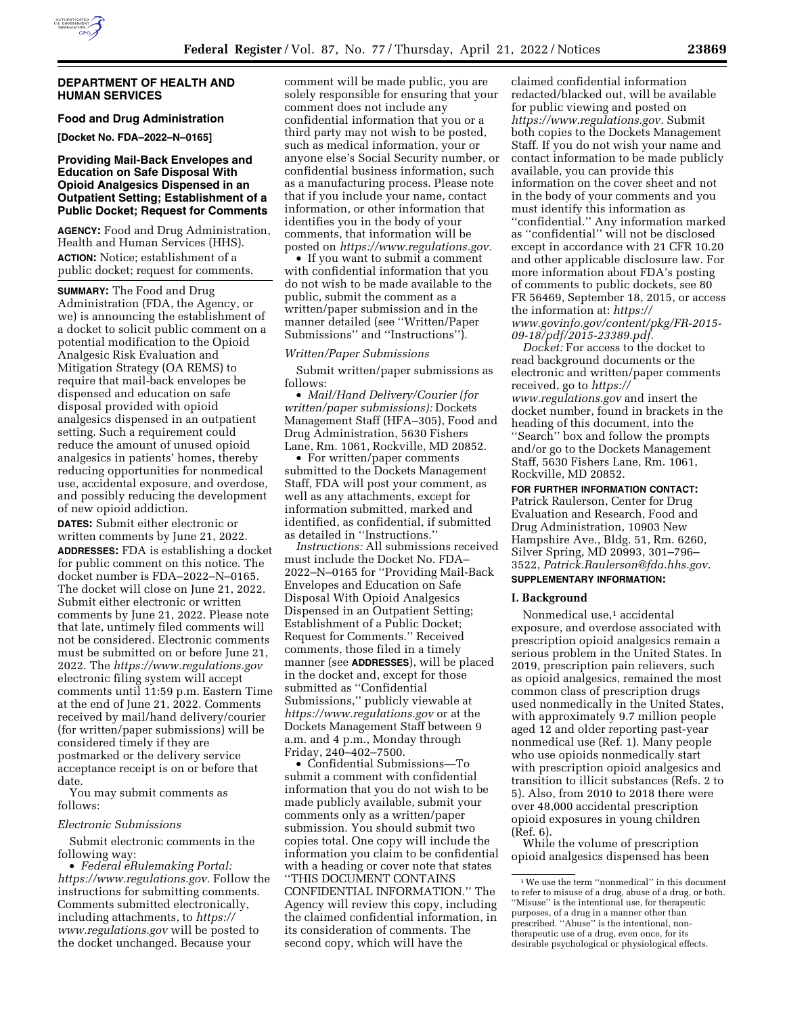### **DEPARTMENT OF HEALTH AND HUMAN SERVICES**

**Food and Drug Administration [Docket No. FDA–2022–N–0165]** 

## **Providing Mail-Back Envelopes and Education on Safe Disposal With Opioid Analgesics Dispensed in an Outpatient Setting; Establishment of a Public Docket; Request for Comments**

**AGENCY:** Food and Drug Administration, Health and Human Services (HHS). **ACTION:** Notice; establishment of a public docket; request for comments.

**SUMMARY:** The Food and Drug Administration (FDA, the Agency, or we) is announcing the establishment of a docket to solicit public comment on a potential modification to the Opioid Analgesic Risk Evaluation and Mitigation Strategy (OA REMS) to require that mail-back envelopes be dispensed and education on safe disposal provided with opioid analgesics dispensed in an outpatient setting. Such a requirement could reduce the amount of unused opioid analgesics in patients' homes, thereby reducing opportunities for nonmedical use, accidental exposure, and overdose, and possibly reducing the development of new opioid addiction.

**DATES:** Submit either electronic or written comments by June 21, 2022. **ADDRESSES:** FDA is establishing a docket for public comment on this notice. The docket number is FDA–2022–N–0165. The docket will close on June 21, 2022. Submit either electronic or written comments by June 21, 2022. Please note that late, untimely filed comments will not be considered. Electronic comments must be submitted on or before June 21, 2022. The *<https://www.regulations.gov>* electronic filing system will accept comments until 11:59 p.m. Eastern Time at the end of June 21, 2022. Comments received by mail/hand delivery/courier (for written/paper submissions) will be considered timely if they are postmarked or the delivery service acceptance receipt is on or before that date.

You may submit comments as follows:

#### *Electronic Submissions*

Submit electronic comments in the following way:

• *Federal eRulemaking Portal: [https://www.regulations.gov.](https://www.regulations.gov)* Follow the instructions for submitting comments. Comments submitted electronically, including attachments, to *[https://](https://www.regulations.gov) [www.regulations.gov](https://www.regulations.gov)* will be posted to the docket unchanged. Because your

comment will be made public, you are solely responsible for ensuring that your comment does not include any confidential information that you or a third party may not wish to be posted, such as medical information, your or anyone else's Social Security number, or confidential business information, such as a manufacturing process. Please note that if you include your name, contact information, or other information that identifies you in the body of your comments, that information will be posted on *[https://www.regulations.gov.](https://www.regulations.gov)* 

• If you want to submit a comment with confidential information that you do not wish to be made available to the public, submit the comment as a written/paper submission and in the manner detailed (see ''Written/Paper Submissions'' and ''Instructions'').

#### *Written/Paper Submissions*

Submit written/paper submissions as follows:

• *Mail/Hand Delivery/Courier (for written/paper submissions):* Dockets Management Staff (HFA–305), Food and Drug Administration, 5630 Fishers Lane, Rm. 1061, Rockville, MD 20852.

• For written/paper comments submitted to the Dockets Management Staff, FDA will post your comment, as well as any attachments, except for information submitted, marked and identified, as confidential, if submitted as detailed in ''Instructions.''

*Instructions:* All submissions received must include the Docket No. FDA– 2022–N–0165 for ''Providing Mail-Back Envelopes and Education on Safe Disposal With Opioid Analgesics Dispensed in an Outpatient Setting; Establishment of a Public Docket; Request for Comments.'' Received comments, those filed in a timely manner (see **ADDRESSES**), will be placed in the docket and, except for those submitted as ''Confidential Submissions,'' publicly viewable at *<https://www.regulations.gov>* or at the Dockets Management Staff between 9 a.m. and 4 p.m., Monday through Friday, 240–402–7500.

• Confidential Submissions—To submit a comment with confidential information that you do not wish to be made publicly available, submit your comments only as a written/paper submission. You should submit two copies total. One copy will include the information you claim to be confidential with a heading or cover note that states ''THIS DOCUMENT CONTAINS CONFIDENTIAL INFORMATION.'' The Agency will review this copy, including the claimed confidential information, in its consideration of comments. The second copy, which will have the

claimed confidential information redacted/blacked out, will be available for public viewing and posted on *[https://www.regulations.gov.](https://www.regulations.gov)* Submit both copies to the Dockets Management Staff. If you do not wish your name and contact information to be made publicly available, you can provide this information on the cover sheet and not in the body of your comments and you must identify this information as ''confidential.'' Any information marked as ''confidential'' will not be disclosed except in accordance with 21 CFR 10.20 and other applicable disclosure law. For more information about FDA's posting of comments to public dockets, see 80 FR 56469, September 18, 2015, or access the information at: *[https://](https://www.govinfo.gov/content/pkg/FR-2015-09-18/pdf/2015-23389.pdf) [www.govinfo.gov/content/pkg/FR-2015-](https://www.govinfo.gov/content/pkg/FR-2015-09-18/pdf/2015-23389.pdf) [09-18/pdf/2015-23389.pdf.](https://www.govinfo.gov/content/pkg/FR-2015-09-18/pdf/2015-23389.pdf)* 

*Docket:* For access to the docket to read background documents or the electronic and written/paper comments received, go to *[https://](https://www.regulations.gov) [www.regulations.gov](https://www.regulations.gov)* and insert the docket number, found in brackets in the heading of this document, into the ''Search'' box and follow the prompts and/or go to the Dockets Management Staff, 5630 Fishers Lane, Rm. 1061, Rockville, MD 20852.

### **FOR FURTHER INFORMATION CONTACT:**

Patrick Raulerson, Center for Drug Evaluation and Research, Food and Drug Administration, 10903 New Hampshire Ave., Bldg. 51, Rm. 6260, Silver Spring, MD 20993, 301–796– 3522, *[Patrick.Raulerson@fda.hhs.gov.](mailto:Patrick.Raulerson@fda.hhs.gov)*  **SUPPLEMENTARY INFORMATION:** 

### **I. Background**

Nonmedical use,<sup>1</sup> accidental exposure, and overdose associated with prescription opioid analgesics remain a serious problem in the United States. In 2019, prescription pain relievers, such as opioid analgesics, remained the most common class of prescription drugs used nonmedically in the United States, with approximately 9.7 million people aged 12 and older reporting past-year nonmedical use (Ref. 1). Many people who use opioids nonmedically start with prescription opioid analgesics and transition to illicit substances (Refs. 2 to 5). Also, from 2010 to 2018 there were over 48,000 accidental prescription opioid exposures in young children (Ref. 6).

While the volume of prescription opioid analgesics dispensed has been

<sup>1</sup>We use the term ''nonmedical'' in this document to refer to misuse of a drug, abuse of a drug, or both. ''Misuse'' is the intentional use, for therapeutic purposes, of a drug in a manner other than prescribed. ''Abuse'' is the intentional, nontherapeutic use of a drug, even once, for its desirable psychological or physiological effects.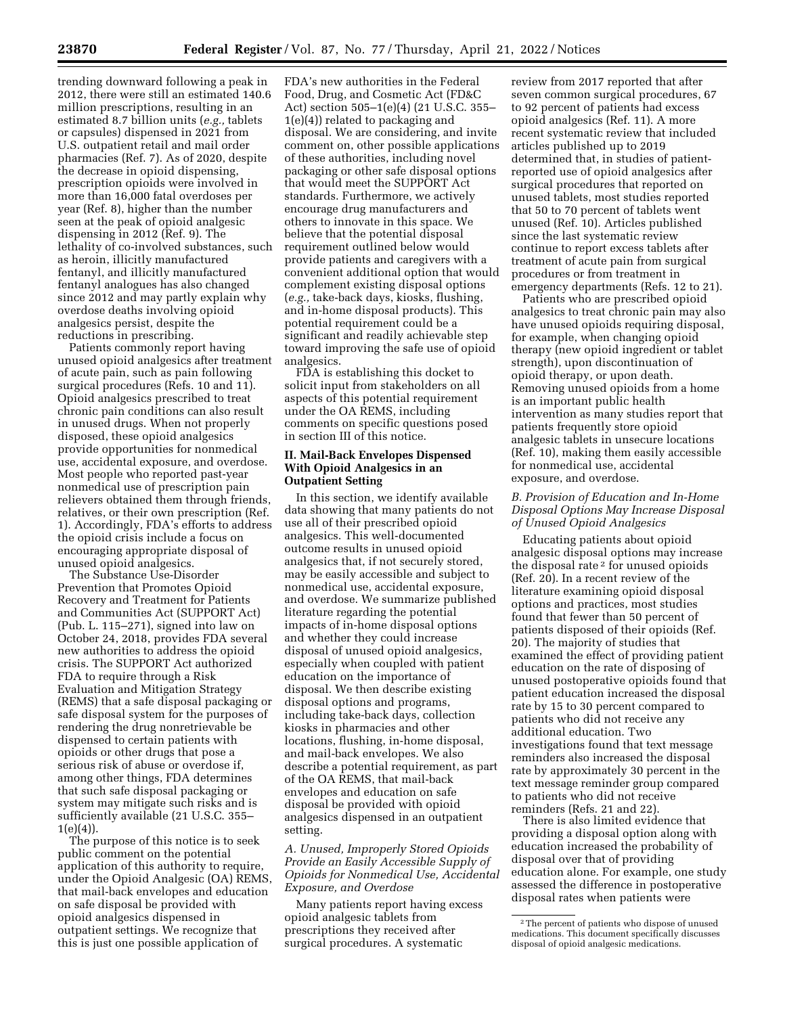trending downward following a peak in 2012, there were still an estimated 140.6 million prescriptions, resulting in an estimated 8.7 billion units (*e.g.,* tablets or capsules) dispensed in 2021 from U.S. outpatient retail and mail order pharmacies (Ref. 7). As of 2020, despite the decrease in opioid dispensing, prescription opioids were involved in more than 16,000 fatal overdoses per year (Ref. 8), higher than the number seen at the peak of opioid analgesic dispensing in 2012 (Ref. 9). The lethality of co-involved substances, such as heroin, illicitly manufactured fentanyl, and illicitly manufactured fentanyl analogues has also changed since 2012 and may partly explain why overdose deaths involving opioid analgesics persist, despite the reductions in prescribing.

Patients commonly report having unused opioid analgesics after treatment of acute pain, such as pain following surgical procedures (Refs. 10 and 11). Opioid analgesics prescribed to treat chronic pain conditions can also result in unused drugs. When not properly disposed, these opioid analgesics provide opportunities for nonmedical use, accidental exposure, and overdose. Most people who reported past-year nonmedical use of prescription pain relievers obtained them through friends, relatives, or their own prescription (Ref. 1). Accordingly, FDA's efforts to address the opioid crisis include a focus on encouraging appropriate disposal of unused opioid analgesics.

The Substance Use-Disorder Prevention that Promotes Opioid Recovery and Treatment for Patients and Communities Act (SUPPORT Act) (Pub. L. 115–271), signed into law on October 24, 2018, provides FDA several new authorities to address the opioid crisis. The SUPPORT Act authorized FDA to require through a Risk Evaluation and Mitigation Strategy (REMS) that a safe disposal packaging or safe disposal system for the purposes of rendering the drug nonretrievable be dispensed to certain patients with opioids or other drugs that pose a serious risk of abuse or overdose if, among other things, FDA determines that such safe disposal packaging or system may mitigate such risks and is sufficiently available (21 U.S.C. 355–  $1(e)(4)$ .

The purpose of this notice is to seek public comment on the potential application of this authority to require, under the Opioid Analgesic (OA) REMS, that mail-back envelopes and education on safe disposal be provided with opioid analgesics dispensed in outpatient settings. We recognize that this is just one possible application of

FDA's new authorities in the Federal Food, Drug, and Cosmetic Act (FD&C Act) section 505–1(e)(4) (21 U.S.C. 355– 1(e)(4)) related to packaging and disposal. We are considering, and invite comment on, other possible applications of these authorities, including novel packaging or other safe disposal options that would meet the SUPPORT Act standards. Furthermore, we actively encourage drug manufacturers and others to innovate in this space. We believe that the potential disposal requirement outlined below would provide patients and caregivers with a convenient additional option that would complement existing disposal options (*e.g.,* take-back days, kiosks, flushing, and in-home disposal products). This potential requirement could be a significant and readily achievable step toward improving the safe use of opioid analgesics.

FDA is establishing this docket to solicit input from stakeholders on all aspects of this potential requirement under the OA REMS, including comments on specific questions posed in section III of this notice.

### **II. Mail-Back Envelopes Dispensed With Opioid Analgesics in an Outpatient Setting**

In this section, we identify available data showing that many patients do not use all of their prescribed opioid analgesics. This well-documented outcome results in unused opioid analgesics that, if not securely stored, may be easily accessible and subject to nonmedical use, accidental exposure, and overdose. We summarize published literature regarding the potential impacts of in-home disposal options and whether they could increase disposal of unused opioid analgesics, especially when coupled with patient education on the importance of disposal. We then describe existing disposal options and programs, including take-back days, collection kiosks in pharmacies and other locations, flushing, in-home disposal, and mail-back envelopes. We also describe a potential requirement, as part of the OA REMS, that mail-back envelopes and education on safe disposal be provided with opioid analgesics dispensed in an outpatient setting.

*A. Unused, Improperly Stored Opioids Provide an Easily Accessible Supply of Opioids for Nonmedical Use, Accidental Exposure, and Overdose* 

Many patients report having excess opioid analgesic tablets from prescriptions they received after surgical procedures. A systematic

review from 2017 reported that after seven common surgical procedures, 67 to 92 percent of patients had excess opioid analgesics (Ref. 11). A more recent systematic review that included articles published up to 2019 determined that, in studies of patientreported use of opioid analgesics after surgical procedures that reported on unused tablets, most studies reported that 50 to 70 percent of tablets went unused (Ref. 10). Articles published since the last systematic review continue to report excess tablets after treatment of acute pain from surgical procedures or from treatment in emergency departments (Refs. 12 to 21).

Patients who are prescribed opioid analgesics to treat chronic pain may also have unused opioids requiring disposal, for example, when changing opioid therapy (new opioid ingredient or tablet strength), upon discontinuation of opioid therapy, or upon death. Removing unused opioids from a home is an important public health intervention as many studies report that patients frequently store opioid analgesic tablets in unsecure locations (Ref. 10), making them easily accessible for nonmedical use, accidental exposure, and overdose.

### *B. Provision of Education and In-Home Disposal Options May Increase Disposal of Unused Opioid Analgesics*

Educating patients about opioid analgesic disposal options may increase the disposal rate 2 for unused opioids (Ref. 20). In a recent review of the literature examining opioid disposal options and practices, most studies found that fewer than 50 percent of patients disposed of their opioids (Ref. 20). The majority of studies that examined the effect of providing patient education on the rate of disposing of unused postoperative opioids found that patient education increased the disposal rate by 15 to 30 percent compared to patients who did not receive any additional education. Two investigations found that text message reminders also increased the disposal rate by approximately 30 percent in the text message reminder group compared to patients who did not receive reminders (Refs. 21 and 22).

There is also limited evidence that providing a disposal option along with education increased the probability of disposal over that of providing education alone. For example, one study assessed the difference in postoperative disposal rates when patients were

<sup>2</sup>The percent of patients who dispose of unused medications. This document specifically discusses disposal of opioid analgesic medications.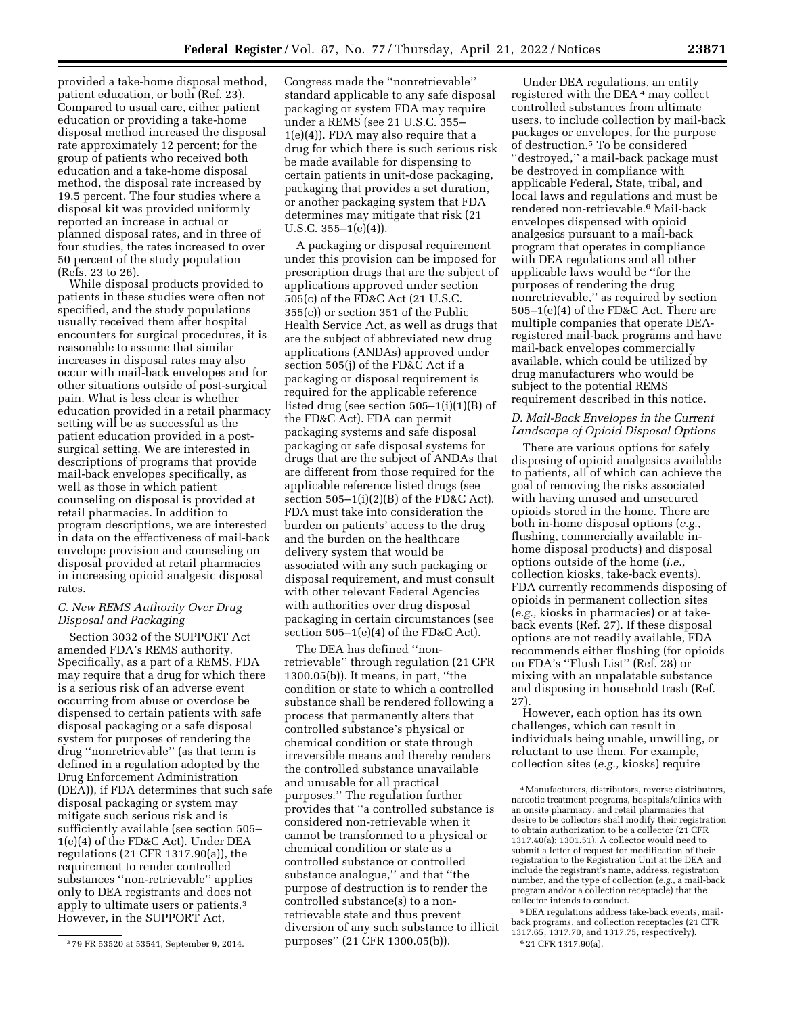provided a take-home disposal method, patient education, or both (Ref. 23). Compared to usual care, either patient education or providing a take-home disposal method increased the disposal rate approximately 12 percent; for the group of patients who received both education and a take-home disposal method, the disposal rate increased by 19.5 percent. The four studies where a disposal kit was provided uniformly reported an increase in actual or planned disposal rates, and in three of four studies, the rates increased to over 50 percent of the study population (Refs. 23 to 26).

While disposal products provided to patients in these studies were often not specified, and the study populations usually received them after hospital encounters for surgical procedures, it is reasonable to assume that similar increases in disposal rates may also occur with mail-back envelopes and for other situations outside of post-surgical pain. What is less clear is whether education provided in a retail pharmacy setting will be as successful as the patient education provided in a postsurgical setting. We are interested in descriptions of programs that provide mail-back envelopes specifically, as well as those in which patient counseling on disposal is provided at retail pharmacies. In addition to program descriptions, we are interested in data on the effectiveness of mail-back envelope provision and counseling on disposal provided at retail pharmacies in increasing opioid analgesic disposal rates.

### *C. New REMS Authority Over Drug Disposal and Packaging*

Section 3032 of the SUPPORT Act amended FDA's REMS authority. Specifically, as a part of a REMS, FDA may require that a drug for which there is a serious risk of an adverse event occurring from abuse or overdose be dispensed to certain patients with safe disposal packaging or a safe disposal system for purposes of rendering the drug ''nonretrievable'' (as that term is defined in a regulation adopted by the Drug Enforcement Administration (DEA)), if FDA determines that such safe disposal packaging or system may mitigate such serious risk and is sufficiently available (see section 505– 1(e)(4) of the FD&C Act). Under DEA regulations (21 CFR 1317.90(a)), the requirement to render controlled substances ''non-retrievable'' applies only to DEA registrants and does not apply to ultimate users or patients.3 However, in the SUPPORT Act,

Congress made the ''nonretrievable'' standard applicable to any safe disposal packaging or system FDA may require under a REMS (see 21 U.S.C. 355– 1(e)(4)). FDA may also require that a drug for which there is such serious risk be made available for dispensing to certain patients in unit-dose packaging, packaging that provides a set duration, or another packaging system that FDA determines may mitigate that risk (21 U.S.C.  $355-1(e)(4)$ .

A packaging or disposal requirement under this provision can be imposed for prescription drugs that are the subject of applications approved under section 505(c) of the FD&C Act (21 U.S.C. 355(c)) or section 351 of the Public Health Service Act, as well as drugs that are the subject of abbreviated new drug applications (ANDAs) approved under section 505(j) of the FD&C Act if a packaging or disposal requirement is required for the applicable reference listed drug (see section 505–1(i)(1)(B) of the FD&C Act). FDA can permit packaging systems and safe disposal packaging or safe disposal systems for drugs that are the subject of ANDAs that are different from those required for the applicable reference listed drugs (see section  $505-1(i)(2)(B)$  of the FD&C Act). FDA must take into consideration the burden on patients' access to the drug and the burden on the healthcare delivery system that would be associated with any such packaging or disposal requirement, and must consult with other relevant Federal Agencies with authorities over drug disposal packaging in certain circumstances (see section 505–1(e)(4) of the FD&C Act).

The DEA has defined ''nonretrievable'' through regulation (21 CFR 1300.05(b)). It means, in part, ''the condition or state to which a controlled substance shall be rendered following a process that permanently alters that controlled substance's physical or chemical condition or state through irreversible means and thereby renders the controlled substance unavailable and unusable for all practical purposes.'' The regulation further provides that ''a controlled substance is considered non-retrievable when it cannot be transformed to a physical or chemical condition or state as a controlled substance or controlled substance analogue,'' and that ''the purpose of destruction is to render the controlled substance(s) to a nonretrievable state and thus prevent diversion of any such substance to illicit purposes'' (21 CFR 1300.05(b)).

Under DEA regulations, an entity registered with the DEA 4 may collect controlled substances from ultimate users, to include collection by mail-back packages or envelopes, for the purpose of destruction.5 To be considered ''destroyed,'' a mail-back package must be destroyed in compliance with applicable Federal, State, tribal, and local laws and regulations and must be rendered non-retrievable.6 Mail-back envelopes dispensed with opioid analgesics pursuant to a mail-back program that operates in compliance with DEA regulations and all other applicable laws would be ''for the purposes of rendering the drug nonretrievable,'' as required by section 505–1(e)(4) of the FD&C Act. There are multiple companies that operate DEAregistered mail-back programs and have mail-back envelopes commercially available, which could be utilized by drug manufacturers who would be subject to the potential REMS requirement described in this notice.

# *D. Mail-Back Envelopes in the Current Landscape of Opioid Disposal Options*

There are various options for safely disposing of opioid analgesics available to patients, all of which can achieve the goal of removing the risks associated with having unused and unsecured opioids stored in the home. There are both in-home disposal options (*e.g.,*  flushing, commercially available inhome disposal products) and disposal options outside of the home (*i.e.,*  collection kiosks, take-back events). FDA currently recommends disposing of opioids in permanent collection sites (*e.g.,* kiosks in pharmacies) or at takeback events (Ref. 27). If these disposal options are not readily available, FDA recommends either flushing (for opioids on FDA's ''Flush List'' (Ref. 28) or mixing with an unpalatable substance and disposing in household trash (Ref. 27).

However, each option has its own challenges, which can result in individuals being unable, unwilling, or reluctant to use them. For example, collection sites (*e.g.,* kiosks) require

5 DEA regulations address take-back events, mailback programs, and collection receptacles (21 CFR 1317.65, 1317.70, and 1317.75, respectively). 6 21 CFR 1317.90(a).

<sup>3</sup> 79 FR 53520 at 53541, September 9, 2014.

<sup>4</sup>Manufacturers, distributors, reverse distributors, narcotic treatment programs, hospitals/clinics with an onsite pharmacy, and retail pharmacies that desire to be collectors shall modify their registration to obtain authorization to be a collector (21 CFR 1317.40(a); 1301.51). A collector would need to submit a letter of request for modification of their registration to the Registration Unit at the DEA and include the registrant's name, address, registration number, and the type of collection (*e.g.,* a mail-back program and/or a collection receptacle) that the collector intends to conduct.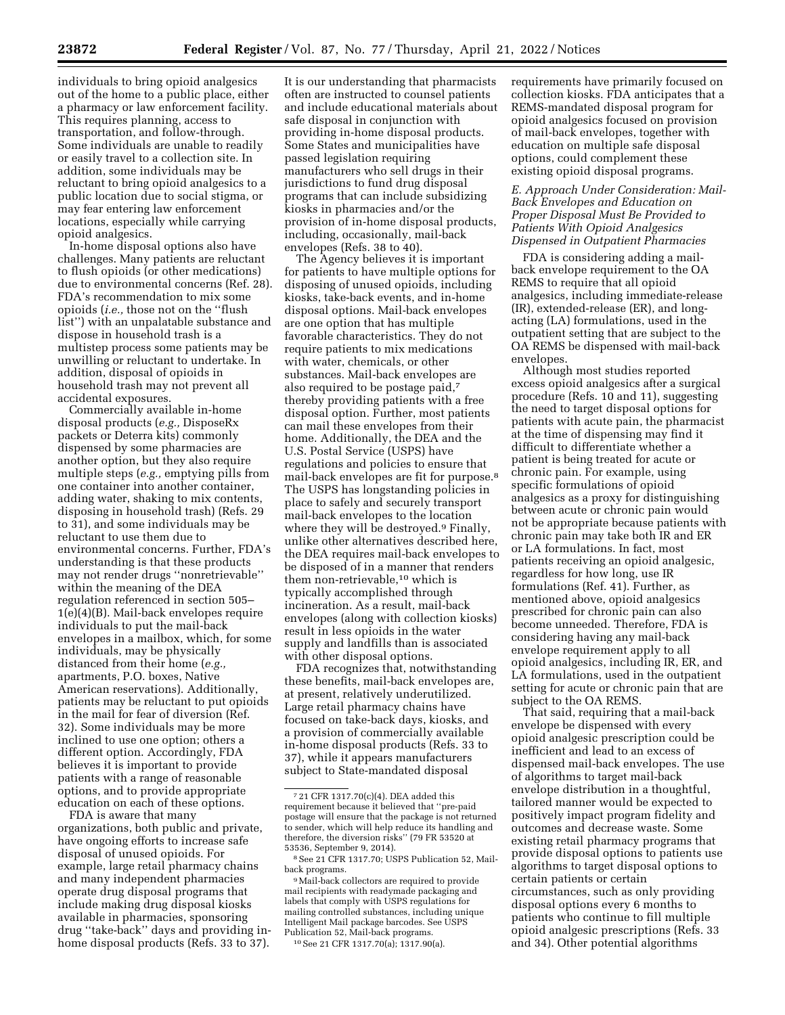individuals to bring opioid analgesics out of the home to a public place, either a pharmacy or law enforcement facility. This requires planning, access to transportation, and follow-through. Some individuals are unable to readily or easily travel to a collection site. In addition, some individuals may be reluctant to bring opioid analgesics to a public location due to social stigma, or may fear entering law enforcement locations, especially while carrying opioid analgesics.

In-home disposal options also have challenges. Many patients are reluctant to flush opioids (or other medications) due to environmental concerns (Ref. 28). FDA's recommendation to mix some opioids (*i.e.,* those not on the ''flush list'') with an unpalatable substance and dispose in household trash is a multistep process some patients may be unwilling or reluctant to undertake. In addition, disposal of opioids in household trash may not prevent all accidental exposures.

Commercially available in-home disposal products (*e.g.,* DisposeRx packets or Deterra kits) commonly dispensed by some pharmacies are another option, but they also require multiple steps (*e.g.,* emptying pills from one container into another container, adding water, shaking to mix contents, disposing in household trash) (Refs. 29 to 31), and some individuals may be reluctant to use them due to environmental concerns. Further, FDA's understanding is that these products may not render drugs ''nonretrievable'' within the meaning of the DEA regulation referenced in section 505– 1(e)(4)(B). Mail-back envelopes require individuals to put the mail-back envelopes in a mailbox, which, for some individuals, may be physically distanced from their home (*e.g.,*  apartments, P.O. boxes, Native American reservations). Additionally, patients may be reluctant to put opioids in the mail for fear of diversion (Ref. 32). Some individuals may be more inclined to use one option; others a different option. Accordingly, FDA believes it is important to provide patients with a range of reasonable options, and to provide appropriate education on each of these options.

FDA is aware that many organizations, both public and private, have ongoing efforts to increase safe disposal of unused opioids. For example, large retail pharmacy chains and many independent pharmacies operate drug disposal programs that include making drug disposal kiosks available in pharmacies, sponsoring drug ''take-back'' days and providing inhome disposal products (Refs. 33 to 37).

It is our understanding that pharmacists often are instructed to counsel patients and include educational materials about safe disposal in conjunction with providing in-home disposal products. Some States and municipalities have passed legislation requiring manufacturers who sell drugs in their jurisdictions to fund drug disposal programs that can include subsidizing kiosks in pharmacies and/or the provision of in-home disposal products, including, occasionally, mail-back envelopes (Refs. 38 to 40).

The Agency believes it is important for patients to have multiple options for disposing of unused opioids, including kiosks, take-back events, and in-home disposal options. Mail-back envelopes are one option that has multiple favorable characteristics. They do not require patients to mix medications with water, chemicals, or other substances. Mail-back envelopes are also required to be postage paid,7 thereby providing patients with a free disposal option. Further, most patients can mail these envelopes from their home. Additionally, the DEA and the U.S. Postal Service (USPS) have regulations and policies to ensure that mail-back envelopes are fit for purpose.8 The USPS has longstanding policies in place to safely and securely transport mail-back envelopes to the location where they will be destroyed.<sup>9</sup> Finally, unlike other alternatives described here, the DEA requires mail-back envelopes to be disposed of in a manner that renders them non-retrievable,10 which is typically accomplished through incineration. As a result, mail-back envelopes (along with collection kiosks) result in less opioids in the water supply and landfills than is associated with other disposal options.

FDA recognizes that, notwithstanding these benefits, mail-back envelopes are, at present, relatively underutilized. Large retail pharmacy chains have focused on take-back days, kiosks, and a provision of commercially available in-home disposal products (Refs. 33 to 37), while it appears manufacturers subject to State-mandated disposal

10See 21 CFR 1317.70(a); 1317.90(a).

requirements have primarily focused on collection kiosks. FDA anticipates that a REMS-mandated disposal program for opioid analgesics focused on provision of mail-back envelopes, together with education on multiple safe disposal options, could complement these existing opioid disposal programs.

# *E. Approach Under Consideration: Mail-Back Envelopes and Education on Proper Disposal Must Be Provided to Patients With Opioid Analgesics Dispensed in Outpatient Pharmacies*

FDA is considering adding a mailback envelope requirement to the OA REMS to require that all opioid analgesics, including immediate-release (IR), extended-release (ER), and longacting (LA) formulations, used in the outpatient setting that are subject to the OA REMS be dispensed with mail-back envelopes.

Although most studies reported excess opioid analgesics after a surgical procedure (Refs. 10 and 11), suggesting the need to target disposal options for patients with acute pain, the pharmacist at the time of dispensing may find it difficult to differentiate whether a patient is being treated for acute or chronic pain. For example, using specific formulations of opioid analgesics as a proxy for distinguishing between acute or chronic pain would not be appropriate because patients with chronic pain may take both IR and ER or LA formulations. In fact, most patients receiving an opioid analgesic, regardless for how long, use IR formulations (Ref. 41). Further, as mentioned above, opioid analgesics prescribed for chronic pain can also become unneeded. Therefore, FDA is considering having any mail-back envelope requirement apply to all opioid analgesics, including IR, ER, and LA formulations, used in the outpatient setting for acute or chronic pain that are subject to the OA REMS.

That said, requiring that a mail-back envelope be dispensed with every opioid analgesic prescription could be inefficient and lead to an excess of dispensed mail-back envelopes. The use of algorithms to target mail-back envelope distribution in a thoughtful, tailored manner would be expected to positively impact program fidelity and outcomes and decrease waste. Some existing retail pharmacy programs that provide disposal options to patients use algorithms to target disposal options to certain patients or certain circumstances, such as only providing disposal options every 6 months to patients who continue to fill multiple opioid analgesic prescriptions (Refs. 33 and 34). Other potential algorithms

<sup>7</sup> 21 CFR 1317.70(c)(4). DEA added this requirement because it believed that ''pre-paid postage will ensure that the package is not returned to sender, which will help reduce its handling and therefore, the diversion risks'' (79 FR 53520 at 53536, September 9, 2014).

<sup>8</sup>See 21 CFR 1317.70; USPS Publication 52, Mailback programs.

<sup>9</sup>Mail-back collectors are required to provide mail recipients with readymade packaging and labels that comply with USPS regulations for mailing controlled substances, including unique Intelligent Mail package barcodes. See USPS Publication 52, Mail-back programs.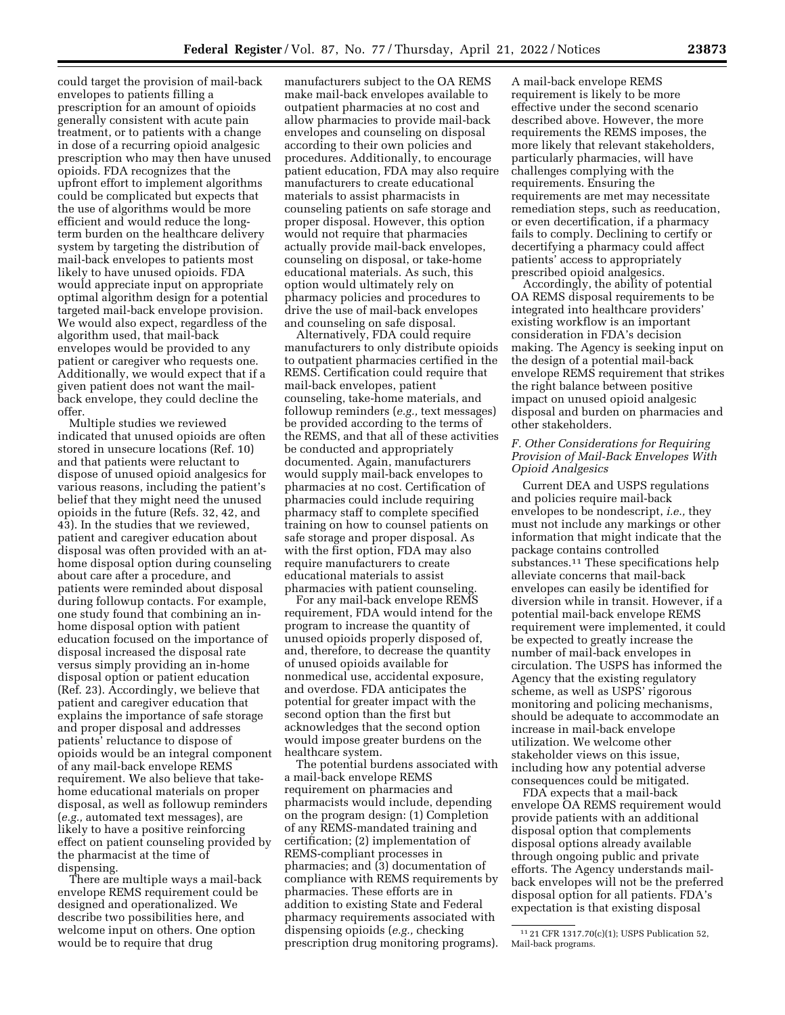could target the provision of mail-back envelopes to patients filling a prescription for an amount of opioids generally consistent with acute pain treatment, or to patients with a change in dose of a recurring opioid analgesic prescription who may then have unused opioids. FDA recognizes that the upfront effort to implement algorithms could be complicated but expects that the use of algorithms would be more efficient and would reduce the longterm burden on the healthcare delivery system by targeting the distribution of mail-back envelopes to patients most likely to have unused opioids. FDA would appreciate input on appropriate optimal algorithm design for a potential targeted mail-back envelope provision. We would also expect, regardless of the algorithm used, that mail-back envelopes would be provided to any patient or caregiver who requests one. Additionally, we would expect that if a given patient does not want the mailback envelope, they could decline the offer.

Multiple studies we reviewed indicated that unused opioids are often stored in unsecure locations (Ref. 10) and that patients were reluctant to dispose of unused opioid analgesics for various reasons, including the patient's belief that they might need the unused opioids in the future (Refs. 32, 42, and 43). In the studies that we reviewed, patient and caregiver education about disposal was often provided with an athome disposal option during counseling about care after a procedure, and patients were reminded about disposal during followup contacts. For example, one study found that combining an inhome disposal option with patient education focused on the importance of disposal increased the disposal rate versus simply providing an in-home disposal option or patient education (Ref. 23). Accordingly, we believe that patient and caregiver education that explains the importance of safe storage and proper disposal and addresses patients' reluctance to dispose of opioids would be an integral component of any mail-back envelope REMS requirement. We also believe that takehome educational materials on proper disposal, as well as followup reminders (*e.g.,* automated text messages), are likely to have a positive reinforcing effect on patient counseling provided by the pharmacist at the time of dispensing.

There are multiple ways a mail-back envelope REMS requirement could be designed and operationalized. We describe two possibilities here, and welcome input on others. One option would be to require that drug

manufacturers subject to the OA REMS make mail-back envelopes available to outpatient pharmacies at no cost and allow pharmacies to provide mail-back envelopes and counseling on disposal according to their own policies and procedures. Additionally, to encourage patient education, FDA may also require manufacturers to create educational materials to assist pharmacists in counseling patients on safe storage and proper disposal. However, this option would not require that pharmacies actually provide mail-back envelopes, counseling on disposal, or take-home educational materials. As such, this option would ultimately rely on pharmacy policies and procedures to drive the use of mail-back envelopes and counseling on safe disposal.

Alternatively, FDA could require manufacturers to only distribute opioids to outpatient pharmacies certified in the REMS. Certification could require that mail-back envelopes, patient counseling, take-home materials, and followup reminders (*e.g.,* text messages) be provided according to the terms of the REMS, and that all of these activities be conducted and appropriately documented. Again, manufacturers would supply mail-back envelopes to pharmacies at no cost. Certification of pharmacies could include requiring pharmacy staff to complete specified training on how to counsel patients on safe storage and proper disposal. As with the first option, FDA may also require manufacturers to create educational materials to assist pharmacies with patient counseling.

For any mail-back envelope REMS requirement, FDA would intend for the program to increase the quantity of unused opioids properly disposed of, and, therefore, to decrease the quantity of unused opioids available for nonmedical use, accidental exposure, and overdose. FDA anticipates the potential for greater impact with the second option than the first but acknowledges that the second option would impose greater burdens on the healthcare system.

The potential burdens associated with a mail-back envelope REMS requirement on pharmacies and pharmacists would include, depending on the program design: (1) Completion of any REMS-mandated training and certification; (2) implementation of REMS-compliant processes in pharmacies; and (3) documentation of compliance with REMS requirements by pharmacies. These efforts are in addition to existing State and Federal pharmacy requirements associated with dispensing opioids (*e.g.,* checking prescription drug monitoring programs).

A mail-back envelope REMS requirement is likely to be more effective under the second scenario described above. However, the more requirements the REMS imposes, the more likely that relevant stakeholders, particularly pharmacies, will have challenges complying with the requirements. Ensuring the requirements are met may necessitate remediation steps, such as reeducation, or even decertification, if a pharmacy fails to comply. Declining to certify or decertifying a pharmacy could affect patients' access to appropriately prescribed opioid analgesics.

Accordingly, the ability of potential OA REMS disposal requirements to be integrated into healthcare providers' existing workflow is an important consideration in FDA's decision making. The Agency is seeking input on the design of a potential mail-back envelope REMS requirement that strikes the right balance between positive impact on unused opioid analgesic disposal and burden on pharmacies and other stakeholders.

# *F. Other Considerations for Requiring Provision of Mail-Back Envelopes With Opioid Analgesics*

Current DEA and USPS regulations and policies require mail-back envelopes to be nondescript, *i.e.,* they must not include any markings or other information that might indicate that the package contains controlled substances.11 These specifications help alleviate concerns that mail-back envelopes can easily be identified for diversion while in transit. However, if a potential mail-back envelope REMS requirement were implemented, it could be expected to greatly increase the number of mail-back envelopes in circulation. The USPS has informed the Agency that the existing regulatory scheme, as well as USPS' rigorous monitoring and policing mechanisms, should be adequate to accommodate an increase in mail-back envelope utilization. We welcome other stakeholder views on this issue, including how any potential adverse consequences could be mitigated.

FDA expects that a mail-back envelope OA REMS requirement would provide patients with an additional disposal option that complements disposal options already available through ongoing public and private efforts. The Agency understands mailback envelopes will not be the preferred disposal option for all patients. FDA's expectation is that existing disposal

<sup>11</sup> 21 CFR 1317.70(c)(1); USPS Publication 52, Mail-back programs.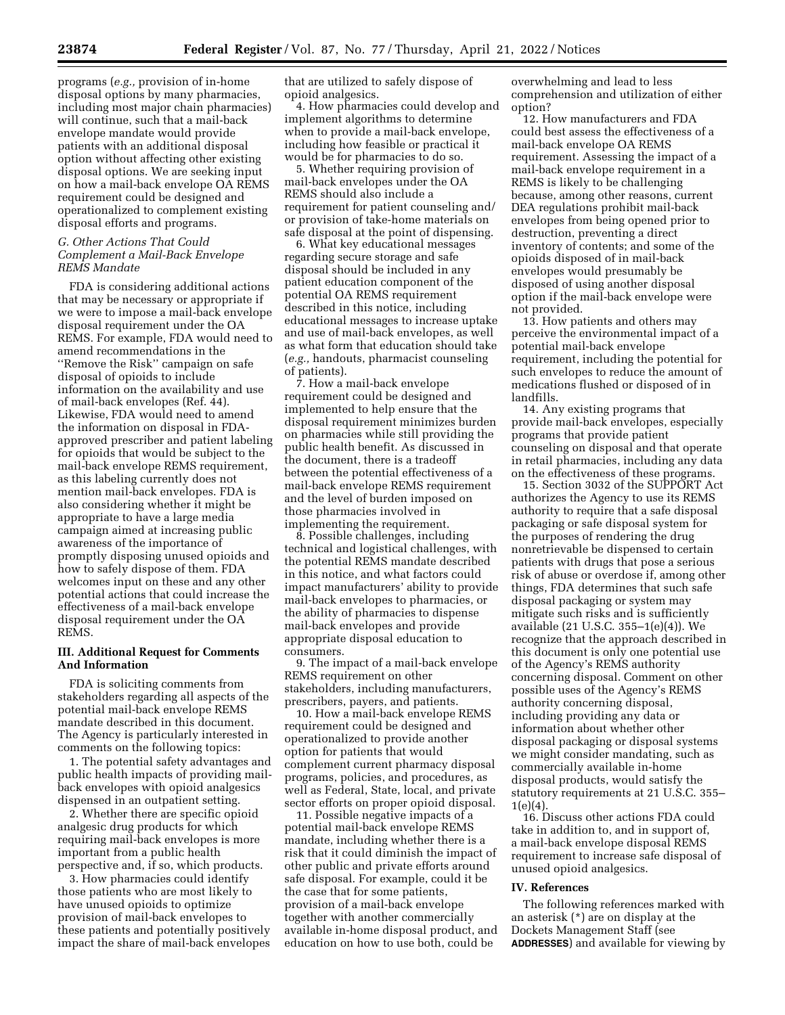programs (*e.g.,* provision of in-home disposal options by many pharmacies, including most major chain pharmacies) will continue, such that a mail-back envelope mandate would provide patients with an additional disposal option without affecting other existing disposal options. We are seeking input on how a mail-back envelope OA REMS requirement could be designed and operationalized to complement existing disposal efforts and programs.

### *G. Other Actions That Could Complement a Mail-Back Envelope REMS Mandate*

FDA is considering additional actions that may be necessary or appropriate if we were to impose a mail-back envelope disposal requirement under the OA REMS. For example, FDA would need to amend recommendations in the ''Remove the Risk'' campaign on safe disposal of opioids to include information on the availability and use of mail-back envelopes (Ref. 44). Likewise, FDA would need to amend the information on disposal in FDAapproved prescriber and patient labeling for opioids that would be subject to the mail-back envelope REMS requirement, as this labeling currently does not mention mail-back envelopes. FDA is also considering whether it might be appropriate to have a large media campaign aimed at increasing public awareness of the importance of promptly disposing unused opioids and how to safely dispose of them. FDA welcomes input on these and any other potential actions that could increase the effectiveness of a mail-back envelope disposal requirement under the OA REMS.

### **III. Additional Request for Comments And Information**

FDA is soliciting comments from stakeholders regarding all aspects of the potential mail-back envelope REMS mandate described in this document. The Agency is particularly interested in comments on the following topics:

1. The potential safety advantages and public health impacts of providing mailback envelopes with opioid analgesics dispensed in an outpatient setting.

2. Whether there are specific opioid analgesic drug products for which requiring mail-back envelopes is more important from a public health perspective and, if so, which products.

3. How pharmacies could identify those patients who are most likely to have unused opioids to optimize provision of mail-back envelopes to these patients and potentially positively impact the share of mail-back envelopes that are utilized to safely dispose of opioid analgesics.

4. How pharmacies could develop and implement algorithms to determine when to provide a mail-back envelope, including how feasible or practical it would be for pharmacies to do so.

5. Whether requiring provision of mail-back envelopes under the OA REMS should also include a requirement for patient counseling and/ or provision of take-home materials on safe disposal at the point of dispensing.

6. What key educational messages regarding secure storage and safe disposal should be included in any patient education component of the potential OA REMS requirement described in this notice, including educational messages to increase uptake and use of mail-back envelopes, as well as what form that education should take (*e.g.,* handouts, pharmacist counseling of patients).

7. How a mail-back envelope requirement could be designed and implemented to help ensure that the disposal requirement minimizes burden on pharmacies while still providing the public health benefit. As discussed in the document, there is a tradeoff between the potential effectiveness of a mail-back envelope REMS requirement and the level of burden imposed on those pharmacies involved in implementing the requirement.

8. Possible challenges, including technical and logistical challenges, with the potential REMS mandate described in this notice, and what factors could impact manufacturers' ability to provide mail-back envelopes to pharmacies, or the ability of pharmacies to dispense mail-back envelopes and provide appropriate disposal education to consumers.

9. The impact of a mail-back envelope REMS requirement on other stakeholders, including manufacturers, prescribers, payers, and patients.

10. How a mail-back envelope REMS requirement could be designed and operationalized to provide another option for patients that would complement current pharmacy disposal programs, policies, and procedures, as well as Federal, State, local, and private sector efforts on proper opioid disposal.

11. Possible negative impacts of a potential mail-back envelope REMS mandate, including whether there is a risk that it could diminish the impact of other public and private efforts around safe disposal. For example, could it be the case that for some patients, provision of a mail-back envelope together with another commercially available in-home disposal product, and education on how to use both, could be

overwhelming and lead to less comprehension and utilization of either option?

12. How manufacturers and FDA could best assess the effectiveness of a mail-back envelope OA REMS requirement. Assessing the impact of a mail-back envelope requirement in a REMS is likely to be challenging because, among other reasons, current DEA regulations prohibit mail-back envelopes from being opened prior to destruction, preventing a direct inventory of contents; and some of the opioids disposed of in mail-back envelopes would presumably be disposed of using another disposal option if the mail-back envelope were not provided.

13. How patients and others may perceive the environmental impact of a potential mail-back envelope requirement, including the potential for such envelopes to reduce the amount of medications flushed or disposed of in landfills.

14. Any existing programs that provide mail-back envelopes, especially programs that provide patient counseling on disposal and that operate in retail pharmacies, including any data on the effectiveness of these programs.

15. Section 3032 of the SUPPORT Act authorizes the Agency to use its REMS authority to require that a safe disposal packaging or safe disposal system for the purposes of rendering the drug nonretrievable be dispensed to certain patients with drugs that pose a serious risk of abuse or overdose if, among other things, FDA determines that such safe disposal packaging or system may mitigate such risks and is sufficiently available (21 U.S.C. 355–1(e)(4)). We recognize that the approach described in this document is only one potential use of the Agency's REMS authority concerning disposal. Comment on other possible uses of the Agency's REMS authority concerning disposal, including providing any data or information about whether other disposal packaging or disposal systems we might consider mandating, such as commercially available in-home disposal products, would satisfy the statutory requirements at 21 U.S.C. 355– 1(e)(4).

16. Discuss other actions FDA could take in addition to, and in support of, a mail-back envelope disposal REMS requirement to increase safe disposal of unused opioid analgesics.

# **IV. References**

The following references marked with an asterisk (\*) are on display at the Dockets Management Staff (see **ADDRESSES**) and available for viewing by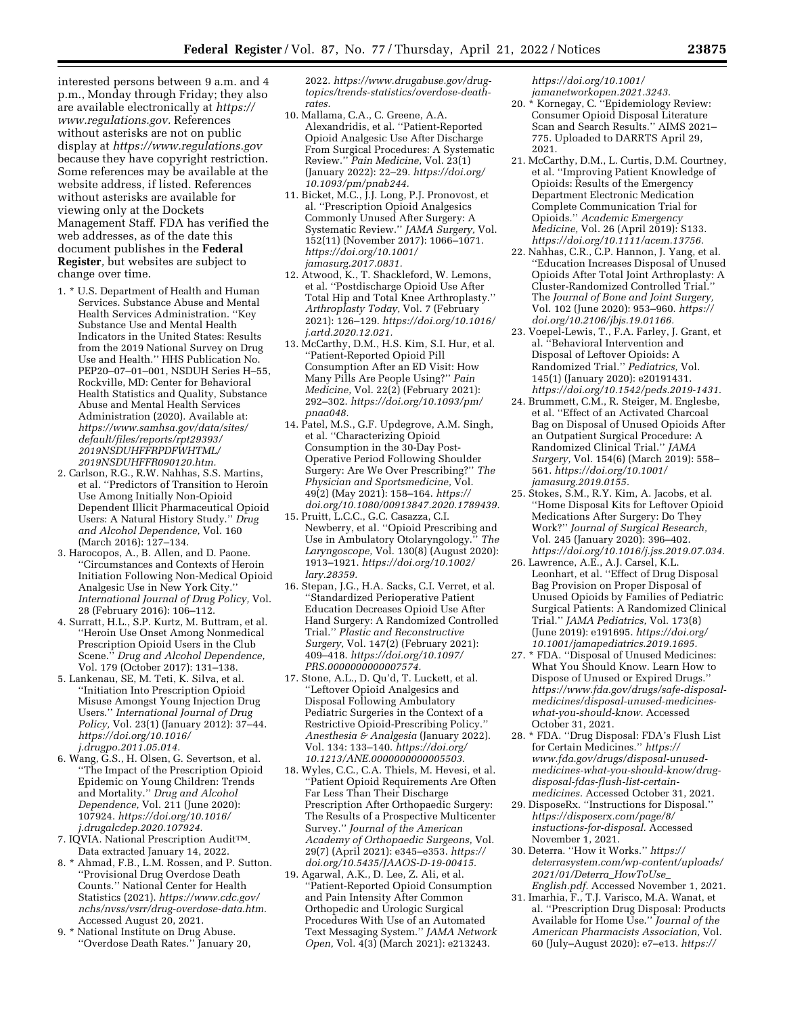interested persons between 9 a.m. and 4 p.m., Monday through Friday; they also are available electronically at *[https://](https://www.regulations.gov) [www.regulations.gov.](https://www.regulations.gov)* References without asterisks are not on public display at *<https://www.regulations.gov>*  because they have copyright restriction. Some references may be available at the website address, if listed. References without asterisks are available for viewing only at the Dockets Management Staff. FDA has verified the web addresses, as of the date this document publishes in the **Federal Register***,* but websites are subject to change over time.

- 1. \* U.S. Department of Health and Human Services. Substance Abuse and Mental Health Services Administration. ''Key Substance Use and Mental Health Indicators in the United States: Results from the 2019 National Survey on Drug Use and Health.'' HHS Publication No. PEP20–07–01–001, NSDUH Series H–55, Rockville, MD: Center for Behavioral Health Statistics and Quality, Substance Abuse and Mental Health Services Administration (2020). Available at: *[https://www.samhsa.gov/data/sites/](https://www.samhsa.gov/data/sites/default/files/reports/rpt29393/2019NSDUHFFRPDFWHTML/2019NSDUHFFR090120.htm) [default/files/reports/rpt29393/](https://www.samhsa.gov/data/sites/default/files/reports/rpt29393/2019NSDUHFFRPDFWHTML/2019NSDUHFFR090120.htm) [2019NSDUHFFRPDFWHTML/](https://www.samhsa.gov/data/sites/default/files/reports/rpt29393/2019NSDUHFFRPDFWHTML/2019NSDUHFFR090120.htm) [2019NSDUHFFR090120.htm.](https://www.samhsa.gov/data/sites/default/files/reports/rpt29393/2019NSDUHFFRPDFWHTML/2019NSDUHFFR090120.htm)*
- 2. Carlson, R.G., R.W. Nahhas, S.S. Martins, et al. ''Predictors of Transition to Heroin Use Among Initially Non-Opioid Dependent Illicit Pharmaceutical Opioid Users: A Natural History Study.'' *Drug and Alcohol Dependence,* Vol. 160 (March 2016): 127–134.
- 3. Harocopos, A., B. Allen, and D. Paone. ''Circumstances and Contexts of Heroin Initiation Following Non-Medical Opioid Analgesic Use in New York City.'' *International Journal of Drug Policy,* Vol. 28 (February 2016): 106–112.
- 4. Surratt, H.L., S.P. Kurtz, M. Buttram, et al. ''Heroin Use Onset Among Nonmedical Prescription Opioid Users in the Club Scene.'' *Drug and Alcohol Dependence,*  Vol. 179 (October 2017): 131–138.
- 5. Lankenau, SE, M. Teti, K. Silva, et al. ''Initiation Into Prescription Opioid Misuse Amongst Young Injection Drug Users.'' *International Journal of Drug Policy,* Vol. 23(1) (January 2012): 37–44. *[https://doi.org/10.1016/](https://doi.org/10.1016/j.drugpo.2011.05.014)  [j.drugpo.2011.05.014.](https://doi.org/10.1016/j.drugpo.2011.05.014)*
- 6. Wang, G.S., H. Olsen, G. Severtson, et al. ''The Impact of the Prescription Opioid Epidemic on Young Children: Trends and Mortality.'' *Drug and Alcohol Dependence,* Vol. 211 (June 2020): 107924. *[https://doi.org/10.1016/](https://doi.org/10.1016/j.drugalcdep.2020.107924) [j.drugalcdep.2020.107924.](https://doi.org/10.1016/j.drugalcdep.2020.107924)*
- 7. IQVIA. National Prescription AuditTM. Data extracted January 14, 2022.
- 8. \* Ahmad, F.B., L.M. Rossen, and P. Sutton. ''Provisional Drug Overdose Death Counts.'' National Center for Health Statistics (2021). *[https://www.cdc.gov/](https://www.cdc.gov/nchs/nvss/vsrr/drug-overdose-data.htm) [nchs/nvss/vsrr/drug-overdose-data.htm.](https://www.cdc.gov/nchs/nvss/vsrr/drug-overdose-data.htm)*  Accessed August 20, 2021.
- 9. \* National Institute on Drug Abuse. ''Overdose Death Rates.'' January 20,

2022. *[https://www.drugabuse.gov/drug](https://www.drugabuse.gov/drug-topics/trends-statistics/overdose-death-rates)[topics/trends-statistics/overdose-death](https://www.drugabuse.gov/drug-topics/trends-statistics/overdose-death-rates)[rates.](https://www.drugabuse.gov/drug-topics/trends-statistics/overdose-death-rates)* 

- 10. Mallama, C.A., C. Greene, A.A. Alexandridis, et al. ''Patient-Reported Opioid Analgesic Use After Discharge From Surgical Procedures: A Systematic Review.'' *Pain Medicine,* Vol. 23(1) (January 2022): 22–29. *[https://doi.org/](https://doi.org/10.1093/pm/pnab244) [10.1093/pm/pnab244.](https://doi.org/10.1093/pm/pnab244)*
- 11. Bicket, M.C., J.J. Long, P.J. Pronovost, et al. ''Prescription Opioid Analgesics Commonly Unused After Surgery: A Systematic Review.'' *JAMA Surgery,* Vol. 152(11) (November 2017): 1066–1071. *[https://doi.org/10.1001/](https://doi.org/10.1001/jamasurg.2017.0831)  [jamasurg.2017.0831.](https://doi.org/10.1001/jamasurg.2017.0831)*
- 12. Atwood, K., T. Shackleford, W. Lemons, et al. ''Postdischarge Opioid Use After Total Hip and Total Knee Arthroplasty.'' *Arthroplasty Today,* Vol. 7 (February 2021): 126–129. *[https://doi.org/10.1016/](https://doi.org/10.1016/j.artd.2020.12.021) [j.artd.2020.12.021.](https://doi.org/10.1016/j.artd.2020.12.021)*
- 13. McCarthy, D.M., H.S. Kim, S.I. Hur, et al. ''Patient-Reported Opioid Pill Consumption After an ED Visit: How Many Pills Are People Using?'' *Pain Medicine,* Vol. 22(2) (February 2021): 292–302. *[https://doi.org/10.1093/pm/](https://doi.org/10.1093/pm/pnaa048)  [pnaa048.](https://doi.org/10.1093/pm/pnaa048)*
- 14. Patel, M.S., G.F. Updegrove, A.M. Singh, et al. ''Characterizing Opioid Consumption in the 30-Day Post-Operative Period Following Shoulder Surgery: Are We Over Prescribing?'' *The Physician and Sportsmedicine,* Vol. 49(2) (May 2021): 158–164. *[https://](https://doi.org/10.1080/00913847.2020.1789439) [doi.org/10.1080/00913847.2020.1789439.](https://doi.org/10.1080/00913847.2020.1789439)*
- 15. Pruitt, L.C.C., G.C. Casazza, C.I. Newberry, et al. ''Opioid Prescribing and Use in Ambulatory Otolaryngology.'' *The Laryngoscope,* Vol. 130(8) (August 2020): 1913–1921. *[https://doi.org/10.1002/](https://doi.org/10.1002/lary.28359) [lary.28359.](https://doi.org/10.1002/lary.28359)*
- 16. Stepan, J.G., H.A. Sacks, C.I. Verret, et al. ''Standardized Perioperative Patient Education Decreases Opioid Use After Hand Surgery: A Randomized Controlled Trial.'' *Plastic and Reconstructive Surgery,* Vol. 147(2) (February 2021): 409–418. *[https://doi.org/10.1097/](https://doi.org/10.1097/PRS.0000000000007574) [PRS.0000000000007574.](https://doi.org/10.1097/PRS.0000000000007574)*
- 17. Stone, A.L., D. Qu'd, T. Luckett, et al. ''Leftover Opioid Analgesics and Disposal Following Ambulatory Pediatric Surgeries in the Context of a Restrictive Opioid-Prescribing Policy. *Anesthesia & Analgesia* (January 2022). Vol. 134: 133–140. *[https://doi.org/](https://doi.org/10.1213/ANE.0000000000005503)  [10.1213/ANE.0000000000005503.](https://doi.org/10.1213/ANE.0000000000005503)*
- 18. Wyles, C.C., C.A. Thiels, M. Hevesi, et al. ''Patient Opioid Requirements Are Often Far Less Than Their Discharge Prescription After Orthopaedic Surgery: The Results of a Prospective Multicenter Survey.'' *Journal of the American Academy of Orthopaedic Surgeons,* Vol. 29(7) (April 2021): e345–e353. *[https://](https://doi.org/10.5435/JAAOS-D-19-00415) [doi.org/10.5435/JAAOS-D-19-00415.](https://doi.org/10.5435/JAAOS-D-19-00415)*
- 19. Agarwal, A.K., D. Lee, Z. Ali, et al. ''Patient-Reported Opioid Consumption and Pain Intensity After Common Orthopedic and Urologic Surgical Procedures With Use of an Automated Text Messaging System.'' *JAMA Network Open,* Vol. 4(3) (March 2021): e213243.

*[https://doi.org/10.1001/](https://doi.org/10.1001/jamanetworkopen.2021.3243)  [jamanetworkopen.2021.3243.](https://doi.org/10.1001/jamanetworkopen.2021.3243)* 

- 20. \* Kornegay, C. ''Epidemiology Review: Consumer Opioid Disposal Literature Scan and Search Results.'' AIMS 2021– 775. Uploaded to DARRTS April 29, 2021.
- 21. McCarthy, D.M., L. Curtis, D.M. Courtney, et al. ''Improving Patient Knowledge of Opioids: Results of the Emergency Department Electronic Medication Complete Communication Trial for Opioids.'' *Academic Emergency Medicine,* Vol. 26 (April 2019): S133. *[https://doi.org/10.1111/acem.13756.](https://doi.org/10.1111/acem.13756)*
- 22. Nahhas, C.R., C.P. Hannon, J. Yang, et al. ''Education Increases Disposal of Unused Opioids After Total Joint Arthroplasty: A Cluster-Randomized Controlled Trial.'' The *Journal of Bone and Joint Surgery,*  Vol. 102 (June 2020): 953–960. *[https://](https://doi.org/10.2106/jbjs.19.01166) [doi.org/10.2106/jbjs.19.01166.](https://doi.org/10.2106/jbjs.19.01166)*
- 23. Voepel-Lewis, T., F.A. Farley, J. Grant, et al. ''Behavioral Intervention and Disposal of Leftover Opioids: A Randomized Trial.'' *Pediatrics,* Vol. 145(1) (January 2020): e20191431. *[https://doi.org/10.1542/peds.2019-1431.](https://doi.org/10.1542/peds.2019-1431)*
- 24. Brummett, C.M., R. Steiger, M. Englesbe, et al. ''Effect of an Activated Charcoal Bag on Disposal of Unused Opioids After an Outpatient Surgical Procedure: A Randomized Clinical Trial.'' *JAMA Surgery,* Vol. 154(6) (March 2019): 558– 561. *[https://doi.org/10.1001/](https://doi.org/10.1001/jamasurg.2019.0155)  [jamasurg.2019.0155.](https://doi.org/10.1001/jamasurg.2019.0155)*
- 25. Stokes, S.M., R.Y. Kim, A. Jacobs, et al. ''Home Disposal Kits for Leftover Opioid Medications After Surgery: Do They Work?'' *Journal of Surgical Research,*  Vol. 245 (January 2020): 396–402. *[https://doi.org/10.1016/j.jss.2019.07.034.](https://doi.org/10.1016/j.jss.2019.07.034)*
- 26. Lawrence, A.E., A.J. Carsel, K.L. Leonhart, et al. ''Effect of Drug Disposal Bag Provision on Proper Disposal of Unused Opioids by Families of Pediatric Surgical Patients: A Randomized Clinical Trial.'' *JAMA Pediatrics,* Vol. 173(8) (June 2019): e191695. *[https://doi.org/](https://doi.org/10.1001/jamapediatrics.2019.1695) [10.1001/jamapediatrics.2019.1695.](https://doi.org/10.1001/jamapediatrics.2019.1695)*
- 27. \* FDA. ''Disposal of Unused Medicines: What You Should Know. Learn How to Dispose of Unused or Expired Drugs.'' *[https://www.fda.gov/drugs/safe-disposal](https://www.fda.gov/drugs/safe-disposal-medicines/disposal-unused-medicines-what-you-should-know)[medicines/disposal-unused-medicines](https://www.fda.gov/drugs/safe-disposal-medicines/disposal-unused-medicines-what-you-should-know)[what-you-should-know.](https://www.fda.gov/drugs/safe-disposal-medicines/disposal-unused-medicines-what-you-should-know)* Accessed October 31, 2021.
- 28. \* FDA. ''Drug Disposal: FDA's Flush List for Certain Medicines.'' *[https://](https://www.fda.gov/drugs/disposal-unused-medicines-what-you-should-know/drug-disposal-fdas-flush-list-certain-medicines) [www.fda.gov/drugs/disposal-unused](https://www.fda.gov/drugs/disposal-unused-medicines-what-you-should-know/drug-disposal-fdas-flush-list-certain-medicines)[medicines-what-you-should-know/drug](https://www.fda.gov/drugs/disposal-unused-medicines-what-you-should-know/drug-disposal-fdas-flush-list-certain-medicines)[disposal-fdas-flush-list-certain](https://www.fda.gov/drugs/disposal-unused-medicines-what-you-should-know/drug-disposal-fdas-flush-list-certain-medicines)[medicines.](https://www.fda.gov/drugs/disposal-unused-medicines-what-you-should-know/drug-disposal-fdas-flush-list-certain-medicines)* Accessed October 31, 2021.
- 29. DisposeRx. ''Instructions for Disposal.'' *[https://disposerx.com/page/8/](https://disposerx.com/page/8/instuctions-for-disposal) [instuctions-for-disposal.](https://disposerx.com/page/8/instuctions-for-disposal)* Accessed November 1, 2021.
- 30. Deterra. ''How it Works.'' *[https://](https://deterrasystem.com/wp-content/uploads/2021/01/Deterra_HowToUse_English.pdf) [deterrasystem.com/wp-content/uploads/](https://deterrasystem.com/wp-content/uploads/2021/01/Deterra_HowToUse_English.pdf) [2021/01/Deterra](https://deterrasystem.com/wp-content/uploads/2021/01/Deterra_HowToUse_English.pdf)*\_*HowToUse*\_ *[English.pdf.](https://deterrasystem.com/wp-content/uploads/2021/01/Deterra_HowToUse_English.pdf)* Accessed November 1, 2021.
- 31. Imarhia, F., T.J. Varisco, M.A. Wanat, et al. ''Prescription Drug Disposal: Products Available for Home Use.'' *Journal of the American Pharmacists Association,* Vol. 60 (July–August 2020): e7–e13. *[https://](https://doi.org/10.1016/j.japh.2020.01.004)*